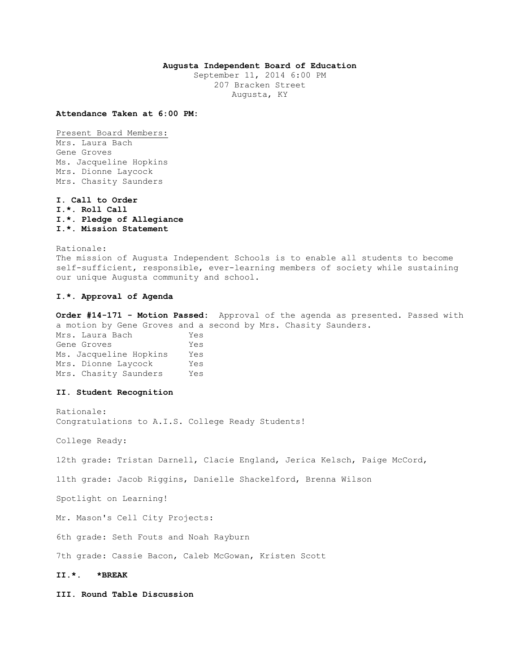# **Augusta Independent Board of Education**

September 11, 2014 6:00 PM 207 Bracken Street Augusta, KY

**Attendance Taken at 6:00 PM:**

Present Board Members: Mrs. Laura Bach Gene Groves Ms. Jacqueline Hopkins Mrs. Dionne Laycock Mrs. Chasity Saunders

**I. Call to Order I.\*. Roll Call I.\*. Pledge of Allegiance I.\*. Mission Statement** 

Rationale: The mission of Augusta Independent Schools is to enable all students to become self-sufficient, responsible, ever-learning members of society while sustaining our unique Augusta community and school.

# **I.\*. Approval of Agenda**

**Order #14-171 - Motion Passed:** Approval of the agenda as presented. Passed with a motion by Gene Groves and a second by Mrs. Chasity Saunders.

Mrs. Laura Bach Yes Gene Groves Tes Ms. Jacqueline Hopkins Yes Mrs. Dionne Laycock Yes Mrs. Chasity Saunders Yes

### **II. Student Recognition**

Rationale: Congratulations to A.I.S. College Ready Students!

College Ready:

12th grade: Tristan Darnell, Clacie England, Jerica Kelsch, Paige McCord,

11th grade: Jacob Riggins, Danielle Shackelford, Brenna Wilson

Spotlight on Learning!

Mr. Mason's Cell City Projects:

6th grade: Seth Fouts and Noah Rayburn

7th grade: Cassie Bacon, Caleb McGowan, Kristen Scott

**II.\*. \*BREAK** 

**III. Round Table Discussion**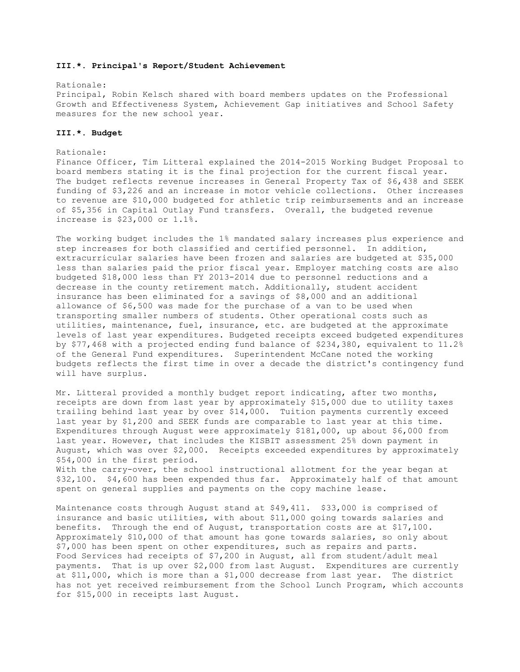#### **III.\*. Principal's Report/Student Achievement**

Rationale: Principal, Robin Kelsch shared with board members updates on the Professional Growth and Effectiveness System, Achievement Gap initiatives and School Safety measures for the new school year.

# **III.\*. Budget**

#### Rationale:

Finance Officer, Tim Litteral explained the 2014-2015 Working Budget Proposal to board members stating it is the final projection for the current fiscal year. The budget reflects revenue increases in General Property Tax of \$6,438 and SEEK funding of \$3,226 and an increase in motor vehicle collections. Other increases to revenue are \$10,000 budgeted for athletic trip reimbursements and an increase of \$5,356 in Capital Outlay Fund transfers. Overall, the budgeted revenue increase is \$23,000 or 1.1%.

The working budget includes the 1% mandated salary increases plus experience and step increases for both classified and certified personnel. In addition, extracurricular salaries have been frozen and salaries are budgeted at \$35,000 less than salaries paid the prior fiscal year. Employer matching costs are also budgeted \$18,000 less than FY 2013-2014 due to personnel reductions and a decrease in the county retirement match. Additionally, student accident insurance has been eliminated for a savings of \$8,000 and an additional allowance of \$6,500 was made for the purchase of a van to be used when transporting smaller numbers of students. Other operational costs such as utilities, maintenance, fuel, insurance, etc. are budgeted at the approximate levels of last year expenditures. Budgeted receipts exceed budgeted expenditures by \$77,468 with a projected ending fund balance of \$234,380, equivalent to 11.2% of the General Fund expenditures. Superintendent McCane noted the working budgets reflects the first time in over a decade the district's contingency fund will have surplus.

Mr. Litteral provided a monthly budget report indicating, after two months, receipts are down from last year by approximately \$15,000 due to utility taxes trailing behind last year by over \$14,000. Tuition payments currently exceed last year by \$1,200 and SEEK funds are comparable to last year at this time. Expenditures through August were approximately \$181,000, up about \$6,000 from last year. However, that includes the KISBIT assessment 25% down payment in August, which was over \$2,000. Receipts exceeded expenditures by approximately \$54,000 in the first period. With the carry-over, the school instructional allotment for the year began at \$32,100. \$4,600 has been expended thus far. Approximately half of that amount spent on general supplies and payments on the copy machine lease.

Maintenance costs through August stand at \$49,411. \$33,000 is comprised of insurance and basic utilities, with about \$11,000 going towards salaries and benefits. Through the end of August, transportation costs are at \$17,100. Approximately \$10,000 of that amount has gone towards salaries, so only about \$7,000 has been spent on other expenditures, such as repairs and parts. Food Services had receipts of \$7,200 in August, all from student/adult meal payments. That is up over \$2,000 from last August. Expenditures are currently at \$11,000, which is more than a \$1,000 decrease from last year. The district has not yet received reimbursement from the School Lunch Program, which accounts for \$15,000 in receipts last August.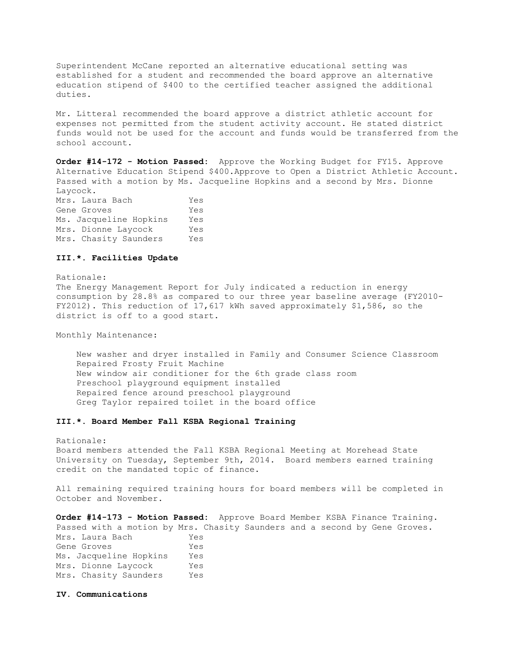Superintendent McCane reported an alternative educational setting was established for a student and recommended the board approve an alternative education stipend of \$400 to the certified teacher assigned the additional duties.

Mr. Litteral recommended the board approve a district athletic account for expenses not permitted from the student activity account. He stated district funds would not be used for the account and funds would be transferred from the school account.

**Order #14-172 - Motion Passed:** Approve the Working Budget for FY15. Approve Alternative Education Stipend \$400.Approve to Open a District Athletic Account. Passed with a motion by Ms. Jacqueline Hopkins and a second by Mrs. Dionne Laycock.

Mrs. Laura Bach Yes Gene Groves Yes Ms. Jacqueline Hopkins Yes Mrs. Dionne Laycock Yes Mrs. Chasity Saunders Yes

### **III.\*. Facilities Update**

Rationale: The Energy Management Report for July indicated a reduction in energy consumption by 28.8% as compared to our three year baseline average (FY2010- FY2012). This reduction of 17,617 kWh saved approximately \$1,586, so the district is off to a good start.

Monthly Maintenance:

 New washer and dryer installed in Family and Consumer Science Classroom Repaired Frosty Fruit Machine New window air conditioner for the 6th grade class room Preschool playground equipment installed Repaired fence around preschool playground Greg Taylor repaired toilet in the board office

# **III.\*. Board Member Fall KSBA Regional Training**

Rationale: Board members attended the Fall KSBA Regional Meeting at Morehead State University on Tuesday, September 9th, 2014. Board members earned training credit on the mandated topic of finance.

All remaining required training hours for board members will be completed in October and November.

**Order #14-173 - Motion Passed:** Approve Board Member KSBA Finance Training. Passed with a motion by Mrs. Chasity Saunders and a second by Gene Groves. Mrs. Laura Bach Yes Gene Groves Yes

| Ms. Jacqueline Hopkins | Yes |
|------------------------|-----|
| Mrs. Dionne Laycock    | Yes |
| Mrs. Chasity Saunders  | Yes |

**IV. Communications**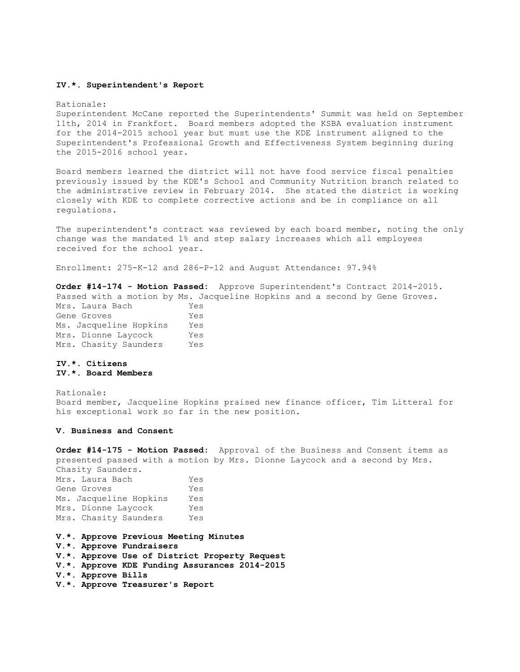#### **IV.\*. Superintendent's Report**

#### Rationale:

Superintendent McCane reported the Superintendents' Summit was held on September 11th, 2014 in Frankfort. Board members adopted the KSBA evaluation instrument for the 2014-2015 school year but must use the KDE instrument aligned to the Superintendent's Professional Growth and Effectiveness System beginning during the 2015-2016 school year.

Board members learned the district will not have food service fiscal penalties previously issued by the KDE's School and Community Nutrition branch related to the administrative review in February 2014. She stated the district is working closely with KDE to complete corrective actions and be in compliance on all regulations.

The superintendent's contract was reviewed by each board member, noting the only change was the mandated 1% and step salary increases which all employees received for the school year.

Enrollment: 275-K-12 and 286-P-12 and August Attendance: 97.94%

**Order #14-174 - Motion Passed:** Approve Superintendent's Contract 2014-2015. Passed with a motion by Ms. Jacqueline Hopkins and a second by Gene Groves. Mrs. Laura Bach Yes Gene Groves Tes Ms. Jacqueline Hopkins Yes Mrs. Dionne Laycock Yes Mrs. Chasity Saunders Yes

# **IV.\*. Citizens IV.\*. Board Members**

Rationale: Board member, Jacqueline Hopkins praised new finance officer, Tim Litteral for his exceptional work so far in the new position.

#### **V. Business and Consent**

**Order #14-175 - Motion Passed:** Approval of the Business and Consent items as presented passed with a motion by Mrs. Dionne Laycock and a second by Mrs. Chasity Saunders.

Mrs. Laura Bach Yes Gene Groves Yes Ms. Jacqueline Hopkins Yes Mrs. Dionne Laycock Yes Mrs. Chasity Saunders Yes

**V.\*. Approve Previous Meeting Minutes V.\*. Approve Fundraisers V.\*. Approve Use of District Property Request V.\*. Approve KDE Funding Assurances 2014-2015 V.\*. Approve Bills V.\*. Approve Treasurer's Report**